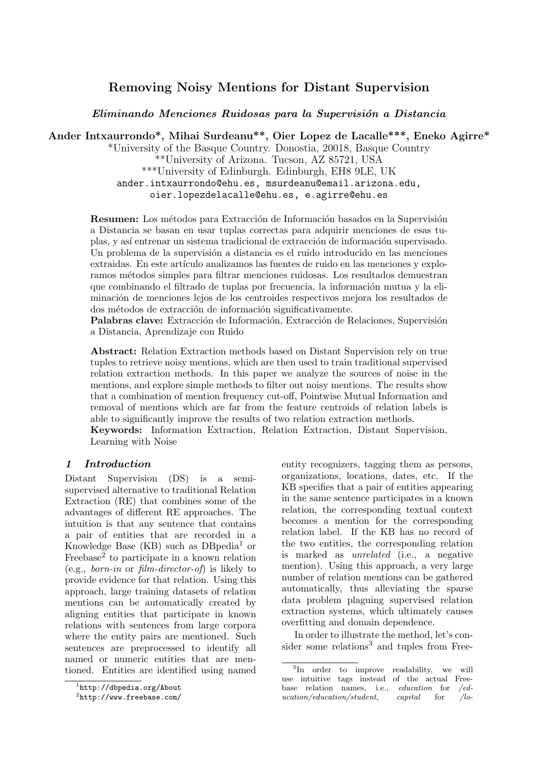# Removing Noisy Mentions for Distant Supervision

Eliminando Menciones Ruidosas para la Supervisión a Distancia

Ander Intxaurrondo\*, Mihai Surdeanu\*\*, Oier Lopez de Lacalle\*\*\*, Eneko Agirre\*

\*University of the Basque Country. Donostia, 20018, Basque Country \*\*University of Arizona. Tucson, AZ 85721, USA \*\*\*University of Edinburgh. Edinburgh, EH8 9LE, UK ander.intxaurrondo@ehu.es, msurdeanu@email.arizona.edu, oier.lopezdelacalle@ehu.es, e.agirre@ehu.es

**Resumen:** Los métodos para Extracción de Información basados en la Supervisión a Distancia se basan en usar tuplas correctas para adquirir menciones de esas tuplas, y así entrenar un sistema tradicional de extracción de información supervisado. Un problema de la supervisión a distancia es el ruido introducido en las menciones extraidas. En este artículo analizamos las fuentes de ruido en las menciones y exploramos m´etodos simples para filtrar menciones ruidosas. Los resultados demuestran que combinando el filtrado de tuplas por frecuencia, la información mutua y la eliminación de menciones lejos de los centroides respectivos mejora los resultados de dos métodos de extracción de información significativamente.

Palabras clave: Extracción de Información, Extracción de Relaciones, Supervisión a Distancia, Aprendizaje con Ruido

Abstract: Relation Extraction methods based on Distant Supervision rely on true tuples to retrieve noisy mentions, which are then used to train traditional supervised relation extraction methods. In this paper we analyze the sources of noise in the mentions, and explore simple methods to filter out noisy mentions. The results show that a combination of mention frequency cut-off, Pointwise Mutual Information and removal of mentions which are far from the feature centroids of relation labels is able to significantly improve the results of two relation extraction methods.

Keywords: Information Extraction, Relation Extraction, Distant Supervision, Learning with Noise

## 1 Introduction

Distant Supervision (DS) is a semisupervised alternative to traditional Relation Extraction (RE) that combines some of the advantages of different RE approaches. The intuition is that any sentence that contains a pair of entities that are recorded in a Knowledge Base (KB) such as  $DBpedia<sup>1</sup>$  or Freebase<sup>2</sup> to participate in a known relation (e.g., born-in or film-director-of) is likely to provide evidence for that relation. Using this approach, large training datasets of relation mentions can be automatically created by aligning entities that participate in known relations with sentences from large corpora where the entity pairs are mentioned. Such sentences are preprocessed to identify all named or numeric entities that are mentioned. Entities are identified using named entity recognizers, tagging them as persons, organizations, locations, dates, etc. If the KB specifies that a pair of entities appearing in the same sentence participates in a known relation, the corresponding textual context becomes a mention for the corresponding relation label. If the KB has no record of the two entities, the corresponding relation is marked as unrelated (i.e., a negative mention). Using this approach, a very large number of relation mentions can be gathered automatically, thus alleviating the sparse data problem plaguing supervised relation extraction systems, which ultimately causes overfitting and domain dependence.

In order to illustrate the method, let's consider some relations<sup>3</sup> and tuples from Free-

<sup>1</sup> http://dbpedia.org/About

 $^{2}$ http://www.freebase.com/

<sup>&</sup>lt;sup>3</sup>In order to improve readability, we will use intuitive tags instead of the actual Freebase relation names, i.e., *education* for /*education*/*education*/*student*, *capital* for /*lo* $ucation/education/student,$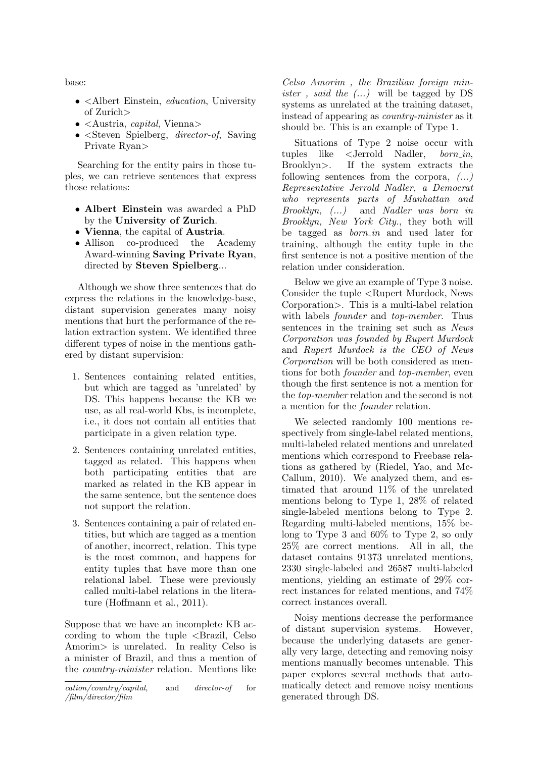base:

- <Albert Einstein, *education*, University of Zurich>
- $\bullet$  <Austria, *capital*, Vienna>
- $\leq$ Steven Spielberg, *director-of*, Saving Private Ryan>

Searching for the entity pairs in those tuples, we can retrieve sentences that express those relations:

- Albert Einstein was awarded a PhD by the University of Zurich.
- Vienna, the capital of Austria.
- Allison co-produced the Academy Award-winning Saving Private Ryan, directed by Steven Spielberg...

Although we show three sentences that do express the relations in the knowledge-base, distant supervision generates many noisy mentions that hurt the performance of the relation extraction system. We identified three different types of noise in the mentions gathered by distant supervision:

- 1. Sentences containing related entities, but which are tagged as 'unrelated' by DS. This happens because the KB we use, as all real-world Kbs, is incomplete, i.e., it does not contain all entities that participate in a given relation type.
- 2. Sentences containing unrelated entities, tagged as related. This happens when both participating entities that are marked as related in the KB appear in the same sentence, but the sentence does not support the relation.
- 3. Sentences containing a pair of related entities, but which are tagged as a mention of another, incorrect, relation. This type is the most common, and happens for entity tuples that have more than one relational label. These were previously called multi-label relations in the literature (Hoffmann et al., 2011).

Suppose that we have an incomplete KB according to whom the tuple  $\leq$ Brazil, Celso Amorim> is unrelated. In reality Celso is a minister of Brazil, and thus a mention of the country-minister relation. Mentions like

Celso Amorim , the Brazilian foreign min*ister*, *said the*  $(...)$  will be tagged by DS systems as unrelated at the training dataset, instead of appearing as country-minister as it should be. This is an example of Type 1.

Situations of Type 2 noise occur with tuples like <Jerrold Nadler, born in, Brooklyn>. If the system extracts the following sentences from the corpora,  $(\dots)$ Representative Jerrold Nadler, a Democrat who represents parts of Manhattan and Brooklyn, (...) and Nadler was born in Brooklyn, New York City., they both will be tagged as  $born_in$  and used later for training, although the entity tuple in the first sentence is not a positive mention of the relation under consideration.

Below we give an example of Type 3 noise. Consider the tuple <Rupert Murdock, News Corporation>. This is a multi-label relation with labels *founder* and *top-member*. Thus sentences in the training set such as News Corporation was founded by Rupert Murdock and Rupert Murdock is the CEO of News Corporation will be both considered as mentions for both founder and top-member, even though the first sentence is not a mention for the top-member relation and the second is not a mention for the founder relation.

We selected randomly 100 mentions respectively from single-label related mentions, multi-labeled related mentions and unrelated mentions which correspond to Freebase relations as gathered by (Riedel, Yao, and Mc-Callum, 2010). We analyzed them, and estimated that around 11% of the unrelated mentions belong to Type 1, 28% of related single-labeled mentions belong to Type 2. Regarding multi-labeled mentions, 15% belong to Type 3 and 60% to Type 2, so only 25% are correct mentions. All in all, the dataset contains 91373 unrelated mentions, 2330 single-labeled and 26587 multi-labeled mentions, yielding an estimate of 29% correct instances for related mentions, and 74% correct instances overall.

Noisy mentions decrease the performance of distant supervision systems. However, because the underlying datasets are generally very large, detecting and removing noisy mentions manually becomes untenable. This paper explores several methods that automatically detect and remove noisy mentions generated through DS.

cation/country/capital, and director-of for /film/director/film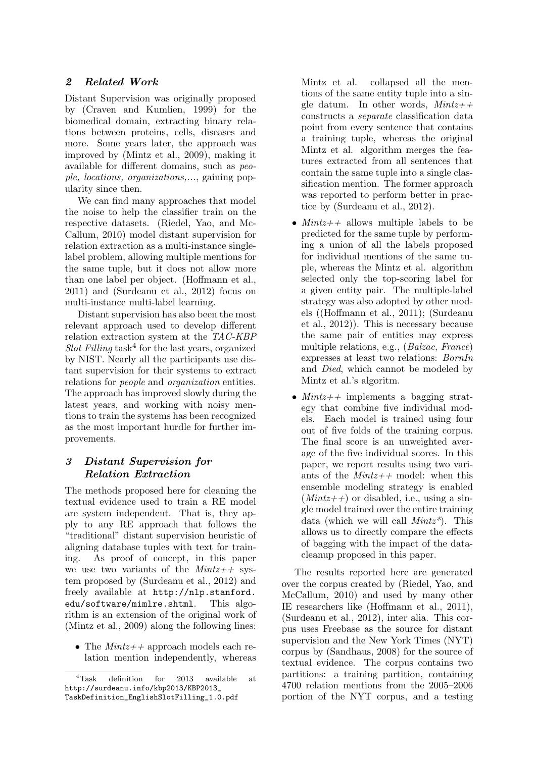## 2 Related Work

Distant Supervision was originally proposed by (Craven and Kumlien, 1999) for the biomedical domain, extracting binary relations between proteins, cells, diseases and more. Some years later, the approach was improved by (Mintz et al., 2009), making it available for different domains, such as people, locations, organizations,..., gaining popularity since then.

We can find many approaches that model the noise to help the classifier train on the respective datasets. (Riedel, Yao, and Mc-Callum, 2010) model distant supervision for relation extraction as a multi-instance singlelabel problem, allowing multiple mentions for the same tuple, but it does not allow more than one label per object. (Hoffmann et al., 2011) and (Surdeanu et al., 2012) focus on multi-instance multi-label learning.

Distant supervision has also been the most relevant approach used to develop different relation extraction system at the TAC-KBP Slot Filling task<sup>4</sup> for the last years, organized by NIST. Nearly all the participants use distant supervision for their systems to extract relations for people and organization entities. The approach has improved slowly during the latest years, and working with noisy mentions to train the systems has been recognized as the most important hurdle for further improvements.

# 3 Distant Supervision for Relation Extraction

The methods proposed here for cleaning the textual evidence used to train a RE model are system independent. That is, they apply to any RE approach that follows the "traditional" distant supervision heuristic of aligning database tuples with text for training. As proof of concept, in this paper we use two variants of the  $Mintz++$  system proposed by (Surdeanu et al., 2012) and freely available at http://nlp.stanford. edu/software/mimlre.shtml. This algorithm is an extension of the original work of (Mintz et al., 2009) along the following lines:

• The  $Mintz++$  approach models each relation mention independently, whereas

Mintz et al. collapsed all the mentions of the same entity tuple into a single datum. In other words,  $Mintz++$ constructs a separate classification data point from every sentence that contains a training tuple, whereas the original Mintz et al. algorithm merges the features extracted from all sentences that contain the same tuple into a single classification mention. The former approach was reported to perform better in practice by (Surdeanu et al., 2012).

- $Mintz++$  allows multiple labels to be predicted for the same tuple by performing a union of all the labels proposed for individual mentions of the same tuple, whereas the Mintz et al. algorithm selected only the top-scoring label for a given entity pair. The multiple-label strategy was also adopted by other models ((Hoffmann et al., 2011); (Surdeanu et al., 2012)). This is necessary because the same pair of entities may express multiple relations, e.g., (Balzac, France) expresses at least two relations: BornIn and Died, which cannot be modeled by Mintz et al.'s algoritm.
- $Mintz++$  implements a bagging strategy that combine five individual models. Each model is trained using four out of five folds of the training corpus. The final score is an unweighted average of the five individual scores. In this paper, we report results using two variants of the  $Mintz++$  model: when this ensemble modeling strategy is enabled  $(Mintz++)$  or disabled, i.e., using a single model trained over the entire training data (which we will call  $Mintz^*$ ). This allows us to directly compare the effects of bagging with the impact of the datacleanup proposed in this paper.

The results reported here are generated over the corpus created by (Riedel, Yao, and McCallum, 2010) and used by many other IE researchers like (Hoffmann et al., 2011), (Surdeanu et al., 2012), inter alia. This corpus uses Freebase as the source for distant supervision and the New York Times (NYT) corpus by (Sandhaus, 2008) for the source of textual evidence. The corpus contains two partitions: a training partition, containing 4700 relation mentions from the 2005–2006 portion of the NYT corpus, and a testing

<sup>4</sup>Task definition for 2013 available at http://surdeanu.info/kbp2013/KBP2013\_ TaskDefinition\_EnglishSlotFilling\_1.0.pdf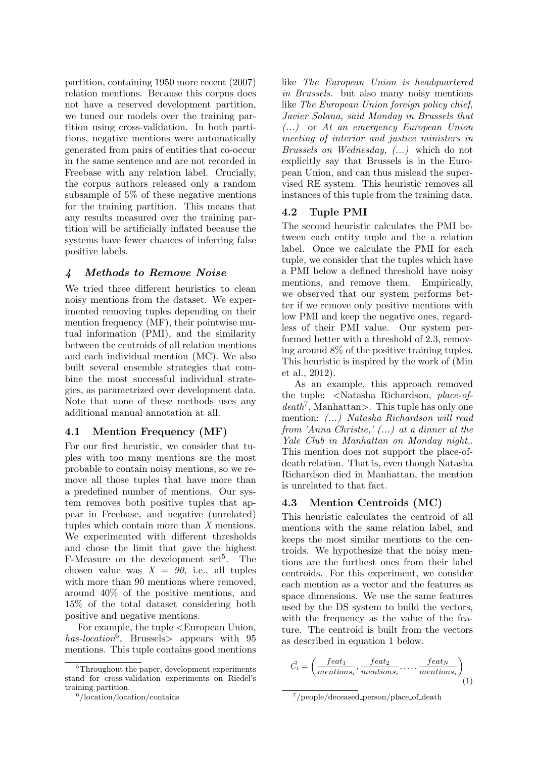partition, containing 1950 more recent (2007) relation mentions. Because this corpus does not have a reserved development partition, we tuned our models over the training partition using cross-validation. In both partitions, negative mentions were automatically generated from pairs of entities that co-occur in the same sentence and are not recorded in Freebase with any relation label. Crucially, the corpus authors released only a random subsample of 5% of these negative mentions for the training partition. This means that any results measured over the training partition will be artificially inflated because the systems have fewer chances of inferring false positive labels.

# 4 Methods to Remove Noise

We tried three different heuristics to clean noisy mentions from the dataset. We experimented removing tuples depending on their mention frequency (MF), their pointwise mutual information (PMI), and the similarity between the centroids of all relation mentions and each individual mention (MC). We also built several ensemble strategies that combine the most successful individual strategies, as parametrized over development data. Note that none of these methods uses any additional manual annotation at all.

## 4.1 Mention Frequency (MF)

For our first heuristic, we consider that tuples with too many mentions are the most probable to contain noisy mentions, so we remove all those tuples that have more than a predefined number of mentions. Our system removes both positive tuples that appear in Freebase, and negative (unrelated) tuples which contain more than X mentions. We experimented with different thresholds and chose the limit that gave the highest  $F-Measure$  on the development set<sup>5</sup>. The chosen value was  $X = 90$ , i.e., all tuples with more than 90 mentions where removed, around 40% of the positive mentions, and 15% of the total dataset considering both positive and negative mentions.

For example, the tuple <European Union, has-location<sup>6</sup>, Brussels > appears with 95 mentions. This tuple contains good mentions

like The European Union is headquartered in Brussels. but also many noisy mentions like The European Union foreign policy chief, Javier Solana, said Monday in Brussels that (...) or At an emergency European Union meeting of interior and justice ministers in Brussels on Wednesday, (...) which do not explicitly say that Brussels is in the European Union, and can thus mislead the supervised RE system. This heuristic removes all instances of this tuple from the training data.

# 4.2 Tuple PMI

The second heuristic calculates the PMI between each entity tuple and the a relation label. Once we calculate the PMI for each tuple, we consider that the tuples which have a PMI below a defined threshold have noisy mentions, and remove them. Empirically, we observed that our system performs better if we remove only positive mentions with low PMI and keep the negative ones, regardless of their PMI value. Our system performed better with a threshold of 2.3, removing around 8% of the positive training tuples. This heuristic is inspired by the work of (Min et al., 2012).

As an example, this approach removed the tuple: <Natasha Richardson, place-of $death<sup>7</sup>$ , Manhattan>. This tuple has only one mention: (...) Natasha Richardson will read from 'Anna Christie,' (...) at a dinner at the Yale Club in Manhattan on Monday night.. This mention does not support the place-ofdeath relation. That is, even though Natasha Richardson died in Manhattan, the mention is unrelated to that fact.

## 4.3 Mention Centroids (MC)

This heuristic calculates the centroid of all mentions with the same relation label, and keeps the most similar mentions to the centroids. We hypothesize that the noisy mentions are the furthest ones from their label centroids. For this experiment, we consider each mention as a vector and the features as space dimensions. We use the same features used by the DS system to build the vectors, with the frequency as the value of the feature. The centroid is built from the vectors as described in equation 1 below.

$$
\vec{C}_i = \left(\frac{feat_1}{methods_i}, \frac{feat_2}{methods_i}, \dots, \frac{feat_N}{methods_i}\right)_{(1)}
$$

<sup>&</sup>lt;sup>5</sup>Throughout the paper, development experiments stand for cross-validation experiments on Riedel's training partition.

<sup>6</sup> /location/location/contains

<sup>7</sup> /people/deceased person/place of death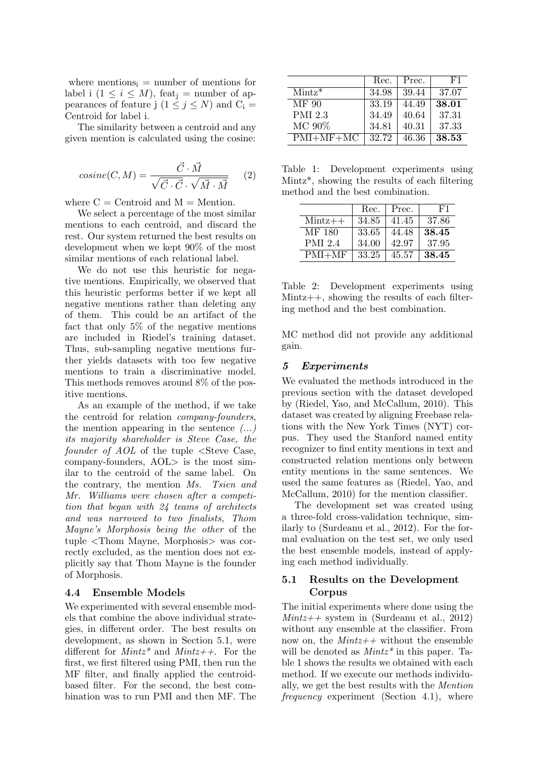where mentions<sub>i</sub> = number of mentions for label i  $(1 \leq i \leq M)$ , feat<sub>i</sub> = number of appearances of feature j  $(1 \le j \le N)$  and  $C_i =$ Centroid for label i.

The similarity between a centroid and any given mention is calculated using the cosine:

$$
cosine(C, M) = \frac{\vec{C} \cdot \vec{M}}{\sqrt{\vec{C} \cdot \vec{C}} \cdot \sqrt{\vec{M} \cdot \vec{M}}}
$$
 (2)

where  $C =$  Centroid and  $M =$  Mention.

We select a percentage of the most similar mentions to each centroid, and discard the rest. Our system returned the best results on development when we kept 90% of the most similar mentions of each relational label.

We do not use this heuristic for negative mentions. Empirically, we observed that this heuristic performs better if we kept all negative mentions rather than deleting any of them. This could be an artifact of the fact that only 5% of the negative mentions are included in Riedel's training dataset. Thus, sub-sampling negative mentions further yields datasets with too few negative mentions to train a discriminative model. This methods removes around 8% of the positive mentions.

As an example of the method, if we take the centroid for relation company-founders, the mention appearing in the sentence  $(\dots)$ its majority shareholder is Steve Case, the founder of AOL of the tuple  $\leq$ Steve Case, company-founders, AOL> is the most similar to the centroid of the same label. On the contrary, the mention Ms. Tsien and Mr. Williams were chosen after a competition that began with 24 teams of architects and was narrowed to two finalists, Thom Mayne's Morphosis being the other of the tuple <Thom Mayne, Morphosis> was correctly excluded, as the mention does not explicitly say that Thom Mayne is the founder of Morphosis.

#### 4.4 Ensemble Models

We experimented with several ensemble models that combine the above individual strategies, in different order. The best results on development, as shown in Section 5.1, were different for  $Mintz^*$  and  $Mintz++$ . For the first, we first filtered using PMI, then run the MF filter, and finally applied the centroidbased filter. For the second, the best combination was to run PMI and then MF. The

|                | Rec.  | Prec. | F1    |
|----------------|-------|-------|-------|
| $Mintz^*$      | 34.98 | 39.44 | 37.07 |
| MF 90          | 33.19 | 44.49 | 38.01 |
| <b>PMI 2.3</b> | 34.49 | 40.64 | 37.31 |
| MC 90%         | 34.81 | 40.31 | 37.33 |
| $PMI+MF+MC$    | 32.72 | 46.36 | 38.53 |

Table 1: Development experiments using Mintz\*, showing the results of each filtering method and the best combination.

|                  | Rec.  | Prec. | F1    |
|------------------|-------|-------|-------|
| $\text{Mintz++}$ | 34.85 | 41.45 | 37.86 |
| MF 180           | 33.65 | 44.48 | 38.45 |
| <b>PMI 2.4</b>   | 34.00 | 42.97 | 37.95 |
| $PMI+MF$         | 33.25 | 45.57 | 38.45 |

Table 2: Development experiments using Mintz++, showing the results of each filtering method and the best combination.

MC method did not provide any additional gain.

#### 5 Experiments

We evaluated the methods introduced in the previous section with the dataset developed by (Riedel, Yao, and McCallum, 2010). This dataset was created by aligning Freebase relations with the New York Times (NYT) corpus. They used the Stanford named entity recognizer to find entity mentions in text and constructed relation mentions only between entity mentions in the same sentences. We used the same features as (Riedel, Yao, and McCallum, 2010) for the mention classifier.

The development set was created using a three-fold cross-validation technique, similarly to (Surdeanu et al., 2012). For the formal evaluation on the test set, we only used the best ensemble models, instead of applying each method individually.

#### 5.1 Results on the Development Corpus

The initial experiments where done using the  $Mintz++$  system in (Surdeanu et al., 2012) without any ensemble at the classifier. From now on, the  $Mintz++$  without the ensemble will be denoted as  $Mintz^*$  in this paper. Table 1 shows the results we obtained with each method. If we execute our methods individually, we get the best results with the Mention frequency experiment (Section 4.1), where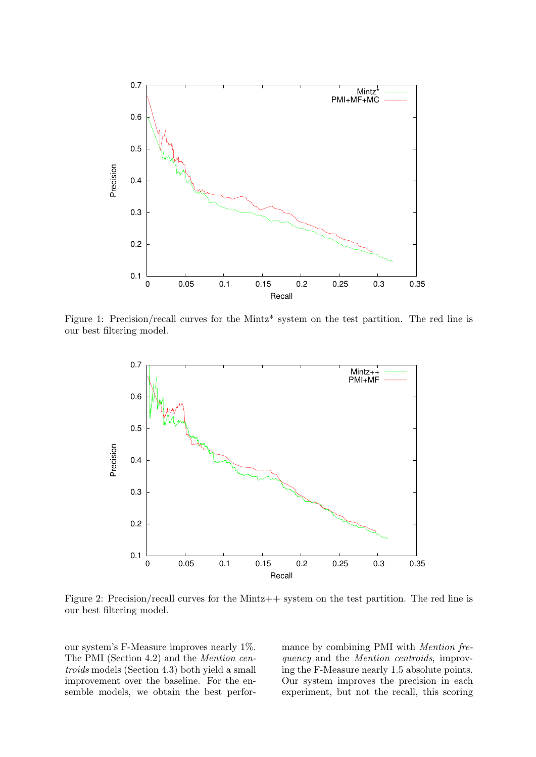

Figure 1: Precision/recall curves for the Mintz\* system on the test partition. The red line is our best filtering model.



Figure 2: Precision/recall curves for the Mintz++ system on the test partition. The red line is our best filtering model.

our system's F-Measure improves nearly 1%. The PMI (Section 4.2) and the Mention centroids models (Section 4.3) both yield a small improvement over the baseline. For the ensemble models, we obtain the best performance by combining PMI with Mention frequency and the Mention centroids, improving the F-Measure nearly 1.5 absolute points. Our system improves the precision in each experiment, but not the recall, this scoring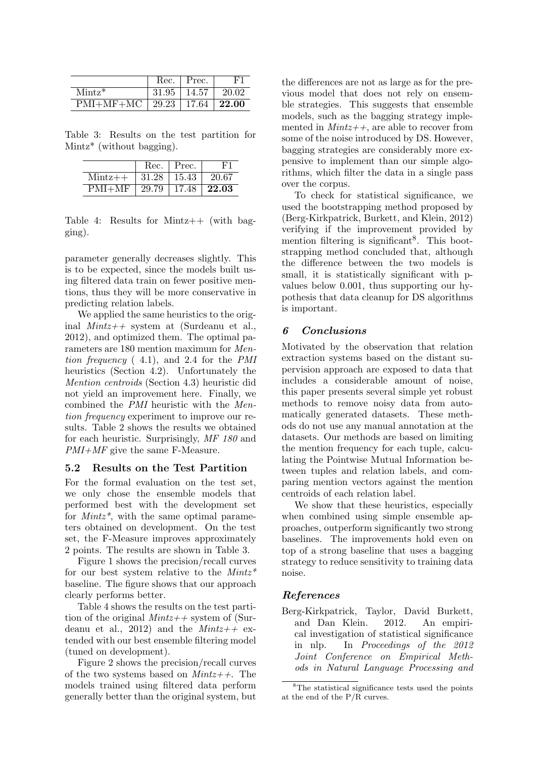|                     | Rec.  | Prec.        |       |
|---------------------|-------|--------------|-------|
| $Mintz*$            | 31.95 | 14.57        | 20.02 |
| $PMI+MF+MC$   29.23 |       | $\mid$ 17.64 | 22.00 |

Table 3: Results on the test partition for Mintz\* (without bagging).

|                  | Rec.  | Prec. |       |
|------------------|-------|-------|-------|
| $\text{Mintz++}$ | 31.28 | 15.43 | 20.67 |
| $PMI+MF$         | 29.79 | 17.48 | 22.03 |

Table 4: Results for Mintz++ (with bagging).

parameter generally decreases slightly. This is to be expected, since the models built using filtered data train on fewer positive mentions, thus they will be more conservative in predicting relation labels.

We applied the same heuristics to the original  $Mintz++$  system at (Surdeanu et al., 2012), and optimized them. The optimal parameters are 180 mention maximum for Mention frequency ( 4.1), and 2.4 for the PMI heuristics (Section 4.2). Unfortunately the Mention centroids (Section 4.3) heuristic did not yield an improvement here. Finally, we combined the PMI heuristic with the Mention frequency experiment to improve our results. Table 2 shows the results we obtained for each heuristic. Surprisingly, MF 180 and PMI+MF give the same F-Measure.

#### 5.2 Results on the Test Partition

For the formal evaluation on the test set, we only chose the ensemble models that performed best with the development set for  $Mintz^*$ , with the same optimal parameters obtained on development. On the test set, the F-Measure improves approximately 2 points. The results are shown in Table 3.

Figure 1 shows the precision/recall curves for our best system relative to the  $Mintz^*$ baseline. The figure shows that our approach clearly performs better.

Table 4 shows the results on the test partition of the original  $Mintz++$  system of (Surdeanu et al., 2012) and the  $Mintz++$  extended with our best ensemble filtering model (tuned on development).

Figure 2 shows the precision/recall curves of the two systems based on  $Mintz++$ . The models trained using filtered data perform generally better than the original system, but the differences are not as large as for the previous model that does not rely on ensemble strategies. This suggests that ensemble models, such as the bagging strategy implemented in  $Mintz++$ , are able to recover from some of the noise introduced by DS. However, bagging strategies are considerably more expensive to implement than our simple algorithms, which filter the data in a single pass over the corpus.

To check for statistical significance, we used the bootstrapping method proposed by (Berg-Kirkpatrick, Burkett, and Klein, 2012) verifying if the improvement provided by mention filtering is significant<sup>8</sup>. This bootstrapping method concluded that, although the difference between the two models is small, it is statistically significant with pvalues below 0.001, thus supporting our hypothesis that data cleanup for DS algorithms is important.

#### 6 Conclusions

Motivated by the observation that relation extraction systems based on the distant supervision approach are exposed to data that includes a considerable amount of noise, this paper presents several simple yet robust methods to remove noisy data from automatically generated datasets. These methods do not use any manual annotation at the datasets. Our methods are based on limiting the mention frequency for each tuple, calculating the Pointwise Mutual Information between tuples and relation labels, and comparing mention vectors against the mention centroids of each relation label.

We show that these heuristics, especially when combined using simple ensemble approaches, outperform significantly two strong baselines. The improvements hold even on top of a strong baseline that uses a bagging strategy to reduce sensitivity to training data noise.

#### References

Berg-Kirkpatrick, Taylor, David Burkett, and Dan Klein. 2012. An empirical investigation of statistical significance in nlp. In Proceedings of the 2012 Joint Conference on Empirical Methods in Natural Language Processing and

<sup>8</sup>The statistical significance tests used the points at the end of the P/R curves.